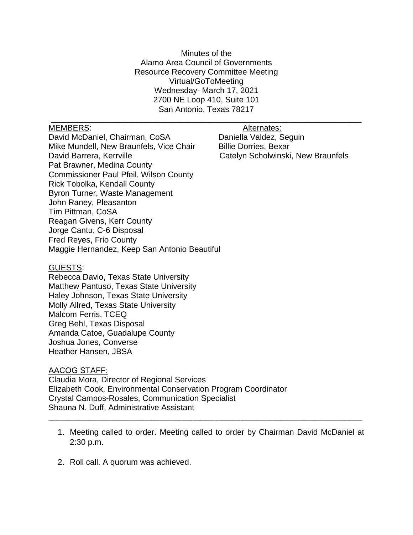Minutes of the Alamo Area Council of Governments Resource Recovery Committee Meeting Virtual/GoToMeeting Wednesday- March 17, 2021 2700 NE Loop 410, Suite 101 San Antonio, Texas 78217

\_\_\_\_\_\_\_\_\_\_\_\_\_\_\_\_\_\_\_\_\_\_\_\_\_\_\_\_\_\_\_\_\_\_\_\_\_\_\_\_\_\_\_\_\_\_\_\_\_\_\_\_\_\_\_\_\_\_\_\_\_\_\_\_\_\_\_\_\_

## MEMBERS: Alternates:

David McDaniel, Chairman, CoSA Daniella Valdez, Seguin Mike Mundell, New Braunfels, Vice Chair Billie Dorries, Bexar David Barrera, Kerrville **Catelyn Scholwinski**, New Braunfels Pat Brawner, Medina County Commissioner Paul Pfeil, Wilson County Rick Tobolka, Kendall County Byron Turner, Waste Management John Raney, Pleasanton Tim Pittman, CoSA Reagan Givens, Kerr County Jorge Cantu, C-6 Disposal Fred Reyes, Frio County Maggie Hernandez, Keep San Antonio Beautiful

### GUESTS:

Rebecca Davio, Texas State University Matthew Pantuso, Texas State University Haley Johnson, Texas State University Molly Allred, Texas State University Malcom Ferris, TCEQ Greg Behl, Texas Disposal Amanda Catoe, Guadalupe County Joshua Jones, Converse Heather Hansen, JBSA

## AACOG STAFF:

Claudia Mora, Director of Regional Services Elizabeth Cook, Environmental Conservation Program Coordinator Crystal Campos-Rosales, Communication Specialist Shauna N. Duff, Administrative Assistant

1. Meeting called to order. Meeting called to order by Chairman David McDaniel at 2:30 p.m.

\_\_\_\_\_\_\_\_\_\_\_\_\_\_\_\_\_\_\_\_\_\_\_\_\_\_\_\_\_\_\_\_\_\_\_\_\_\_\_\_\_\_\_\_\_\_\_\_\_\_\_\_\_\_\_\_\_\_\_\_\_\_\_\_\_\_\_\_\_\_\_\_\_\_\_\_\_\_\_\_\_\_\_\_\_

2. Roll call. A quorum was achieved.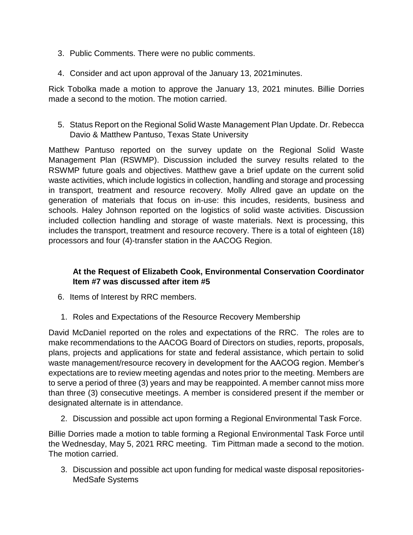- 3. Public Comments. There were no public comments.
- 4. Consider and act upon approval of the January 13, 2021minutes.

Rick Tobolka made a motion to approve the January 13, 2021 minutes. Billie Dorries made a second to the motion. The motion carried.

5. Status Report on the Regional Solid Waste Management Plan Update. Dr. Rebecca Davio & Matthew Pantuso, Texas State University

Matthew Pantuso reported on the survey update on the Regional Solid Waste Management Plan (RSWMP). Discussion included the survey results related to the RSWMP future goals and objectives. Matthew gave a brief update on the current solid waste activities, which include logistics in collection, handling and storage and processing in transport, treatment and resource recovery. Molly Allred gave an update on the generation of materials that focus on in-use: this incudes, residents, business and schools. Haley Johnson reported on the logistics of solid waste activities. Discussion included collection handling and storage of waste materials. Next is processing, this includes the transport, treatment and resource recovery. There is a total of eighteen (18) processors and four (4)-transfer station in the AACOG Region.

# **At the Request of Elizabeth Cook, Environmental Conservation Coordinator Item #7 was discussed after item #5**

- 6. Items of Interest by RRC members.
- 1. Roles and Expectations of the Resource Recovery Membership

David McDaniel reported on the roles and expectations of the RRC. The roles are to make recommendations to the AACOG Board of Directors on studies, reports, proposals, plans, projects and applications for state and federal assistance, which pertain to solid waste management/resource recovery in development for the AACOG region. Member's expectations are to review meeting agendas and notes prior to the meeting. Members are to serve a period of three (3) years and may be reappointed. A member cannot miss more than three (3) consecutive meetings. A member is considered present if the member or designated alternate is in attendance.

2. Discussion and possible act upon forming a Regional Environmental Task Force.

Billie Dorries made a motion to table forming a Regional Environmental Task Force until the Wednesday, May 5, 2021 RRC meeting. Tim Pittman made a second to the motion. The motion carried.

3. Discussion and possible act upon funding for medical waste disposal repositories-MedSafe Systems